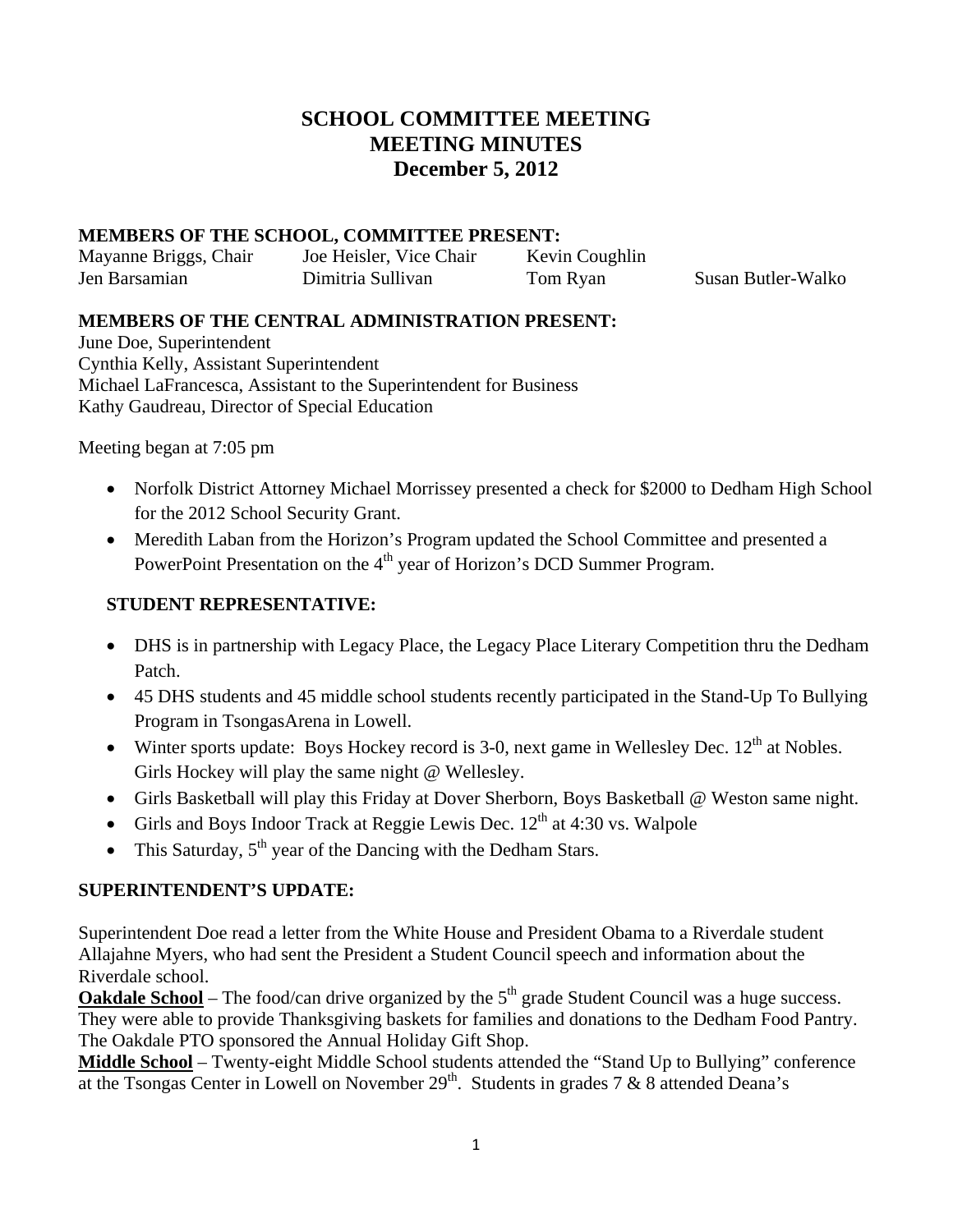# **SCHOOL COMMITTEE MEETING MEETING MINUTES December 5, 2012**

#### **MEMBERS OF THE SCHOOL, COMMITTEE PRESENT:**

Jen Barsamian Dimitria Sullivan Tom Ryan Susan Butler-Walko

Mayanne Briggs, Chair Joe Heisler, Vice Chair Kevin Coughlin

#### **MEMBERS OF THE CENTRAL ADMINISTRATION PRESENT:**

June Doe, Superintendent Cynthia Kelly, Assistant Superintendent Michael LaFrancesca, Assistant to the Superintendent for Business Kathy Gaudreau, Director of Special Education

Meeting began at 7:05 pm

- Norfolk District Attorney Michael Morrissey presented a check for \$2000 to Dedham High School for the 2012 School Security Grant.
- Meredith Laban from the Horizon's Program updated the School Committee and presented a PowerPoint Presentation on the 4<sup>th</sup> year of Horizon's DCD Summer Program.

#### **STUDENT REPRESENTATIVE:**

- DHS is in partnership with Legacy Place, the Legacy Place Literary Competition thru the Dedham Patch.
- 45 DHS students and 45 middle school students recently participated in the Stand-Up To Bullying Program in TsongasArena in Lowell.
- Winter sports update: Boys Hockey record is 3-0, next game in Wellesley Dec.  $12<sup>th</sup>$  at Nobles. Girls Hockey will play the same night @ Wellesley.
- Girls Basketball will play this Friday at Dover Sherborn, Boys Basketball @ Weston same night.
- Girls and Boys Indoor Track at Reggie Lewis Dec.  $12<sup>th</sup>$  at 4:30 vs. Walpole
- This Saturday,  $5<sup>th</sup>$  year of the Dancing with the Dedham Stars.

#### **SUPERINTENDENT'S UPDATE:**

Superintendent Doe read a letter from the White House and President Obama to a Riverdale student Allajahne Myers, who had sent the President a Student Council speech and information about the Riverdale school.

**Oakdale School** – The food/can drive organized by the  $5<sup>th</sup>$  grade Student Council was a huge success. They were able to provide Thanksgiving baskets for families and donations to the Dedham Food Pantry. The Oakdale PTO sponsored the Annual Holiday Gift Shop.

**Middle School** – Twenty-eight Middle School students attended the "Stand Up to Bullying" conference at the Tsongas Center in Lowell on November  $29<sup>th</sup>$ . Students in grades 7 & 8 attended Deana's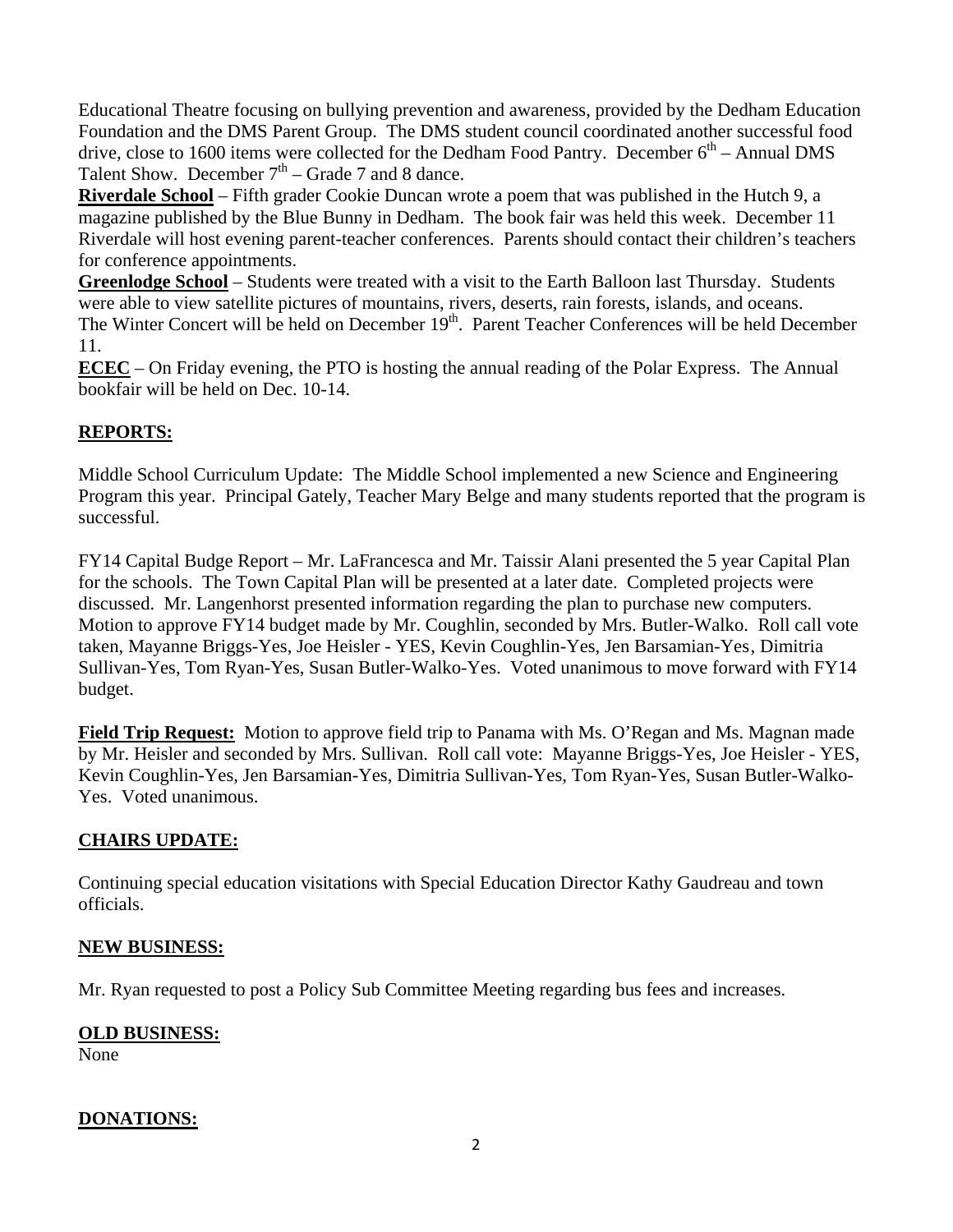Educational Theatre focusing on bullying prevention and awareness, provided by the Dedham Education Foundation and the DMS Parent Group. The DMS student council coordinated another successful food drive, close to 1600 items were collected for the Dedham Food Pantry. December  $6<sup>th</sup>$  – Annual DMS Talent Show. December  $7<sup>th</sup>$  – Grade 7 and 8 dance.

**Riverdale School** – Fifth grader Cookie Duncan wrote a poem that was published in the Hutch 9, a magazine published by the Blue Bunny in Dedham. The book fair was held this week. December 11 Riverdale will host evening parent-teacher conferences. Parents should contact their children's teachers for conference appointments.

**Greenlodge School** – Students were treated with a visit to the Earth Balloon last Thursday. Students were able to view satellite pictures of mountains, rivers, deserts, rain forests, islands, and oceans. The Winter Concert will be held on December 19<sup>th</sup>. Parent Teacher Conferences will be held December 11.

**ECEC** – On Friday evening, the PTO is hosting the annual reading of the Polar Express. The Annual bookfair will be held on Dec. 10-14.

### **REPORTS:**

Middle School Curriculum Update: The Middle School implemented a new Science and Engineering Program this year. Principal Gately, Teacher Mary Belge and many students reported that the program is successful.

FY14 Capital Budge Report – Mr. LaFrancesca and Mr. Taissir Alani presented the 5 year Capital Plan for the schools. The Town Capital Plan will be presented at a later date. Completed projects were discussed. Mr. Langenhorst presented information regarding the plan to purchase new computers. Motion to approve FY14 budget made by Mr. Coughlin, seconded by Mrs. Butler-Walko. Roll call vote taken, Mayanne Briggs-Yes, Joe Heisler - YES, Kevin Coughlin-Yes, Jen Barsamian-Yes , Dimitria Sullivan-Yes, Tom Ryan-Yes, Susan Butler-Walko-Yes. Voted unanimous to move forward with FY14 budget.

**Field Trip Request:** Motion to approve field trip to Panama with Ms. O'Regan and Ms. Magnan made by Mr. Heisler and seconded by Mrs. Sullivan. Roll call vote: Mayanne Briggs-Yes, Joe Heisler - YES, Kevin Coughlin-Yes, Jen Barsamian-Yes, Dimitria Sullivan-Yes, Tom Ryan-Yes, Susan Butler-Walko-Yes. Voted unanimous.

#### **CHAIRS UPDATE:**

Continuing special education visitations with Special Education Director Kathy Gaudreau and town officials.

#### **NEW BUSINESS:**

Mr. Ryan requested to post a Policy Sub Committee Meeting regarding bus fees and increases.

#### **OLD BUSINESS:**

None

### **DONATIONS:**